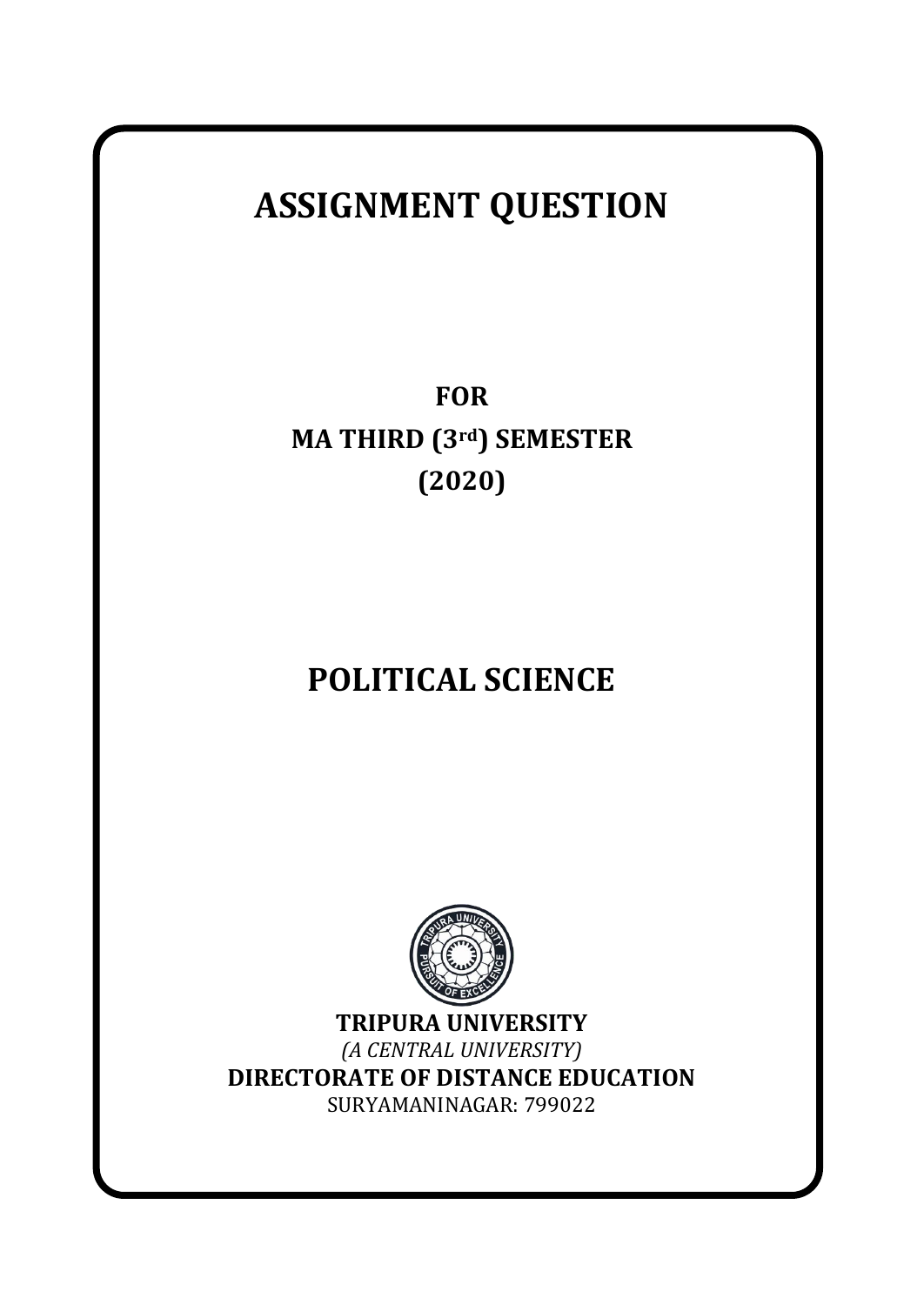# **ASSIGNMENT QUESTION**

**FOR MA THIRD (3rd) SEMESTER (2020)**

# **POLITICAL SCIENCE**



**TRIPURA UNIVERSITY** *(A CENTRAL UNIVERSITY)* **DIRECTORATE OF DISTANCE EDUCATION** SURYAMANINAGAR: 799022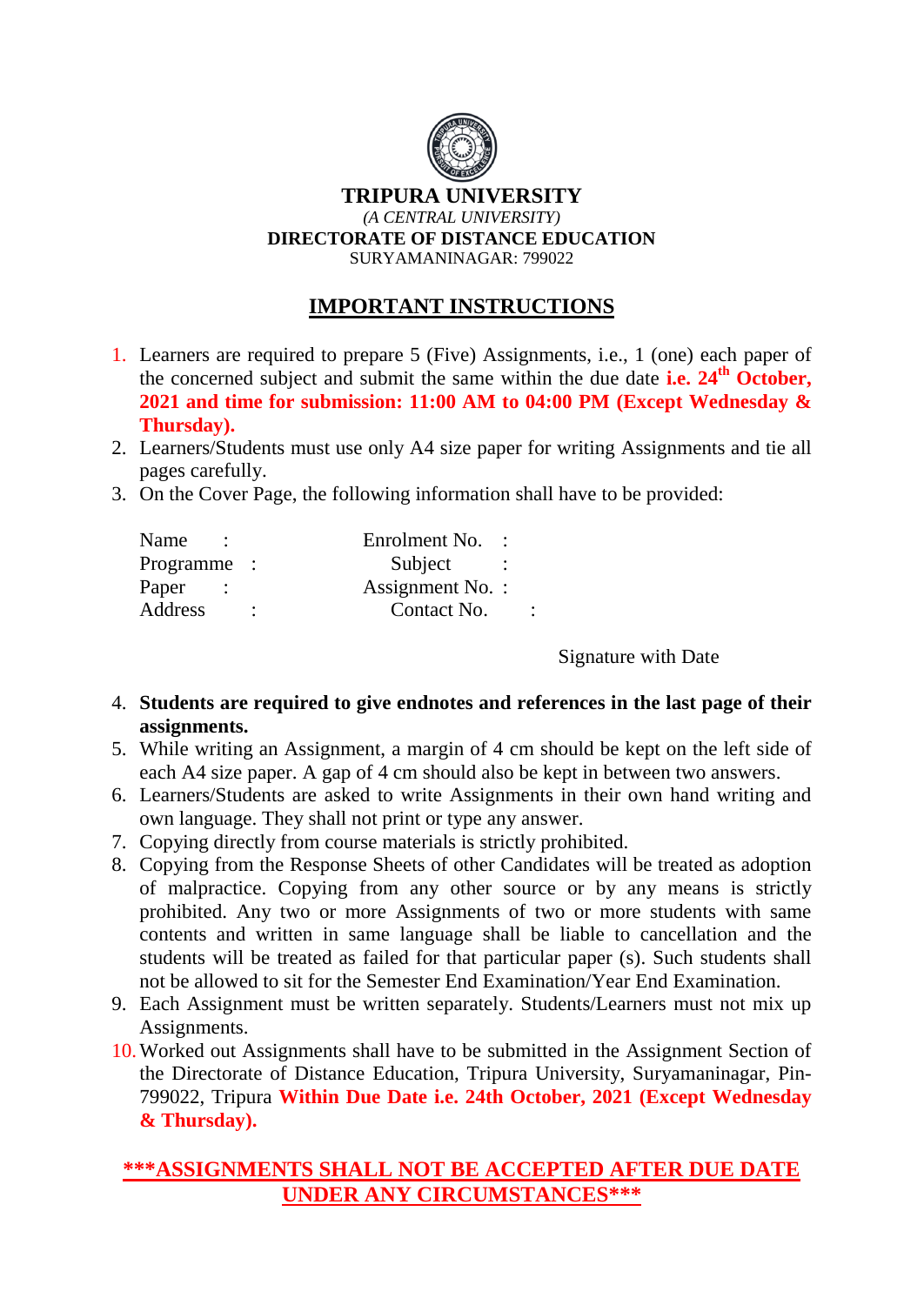

## **IMPORTANT INSTRUCTIONS**

- 1. Learners are required to prepare 5 (Five) Assignments, i.e., 1 (one) each paper of the concerned subject and submit the same within the due date **i.e. 24th October, 2021 and time for submission: 11:00 AM to 04:00 PM (Except Wednesday & Thursday).**
- 2. Learners/Students must use only A4 size paper for writing Assignments and tie all pages carefully.
- 3. On the Cover Page, the following information shall have to be provided:

| Name        | Enrolment No.    |         |
|-------------|------------------|---------|
| Programme : | Subject          |         |
| Paper       | Assignment No. : |         |
| Address     | Contact No.      | $\cdot$ |
|             |                  |         |

Signature with Date

- 4. **Students are required to give endnotes and references in the last page of their assignments.**
- 5. While writing an Assignment, a margin of 4 cm should be kept on the left side of each A4 size paper. A gap of 4 cm should also be kept in between two answers.
- 6. Learners/Students are asked to write Assignments in their own hand writing and own language. They shall not print or type any answer.
- 7. Copying directly from course materials is strictly prohibited.
- 8. Copying from the Response Sheets of other Candidates will be treated as adoption of malpractice. Copying from any other source or by any means is strictly prohibited. Any two or more Assignments of two or more students with same contents and written in same language shall be liable to cancellation and the students will be treated as failed for that particular paper (s). Such students shall not be allowed to sit for the Semester End Examination/Year End Examination.
- 9. Each Assignment must be written separately. Students/Learners must not mix up Assignments.
- 10.Worked out Assignments shall have to be submitted in the Assignment Section of the Directorate of Distance Education, Tripura University, Suryamaninagar, Pin-799022, Tripura **Within Due Date i.e. 24th October, 2021 (Except Wednesday & Thursday).**

## **\*\*\*ASSIGNMENTS SHALL NOT BE ACCEPTED AFTER DUE DATE UNDER ANY CIRCUMSTANCES\*\*\***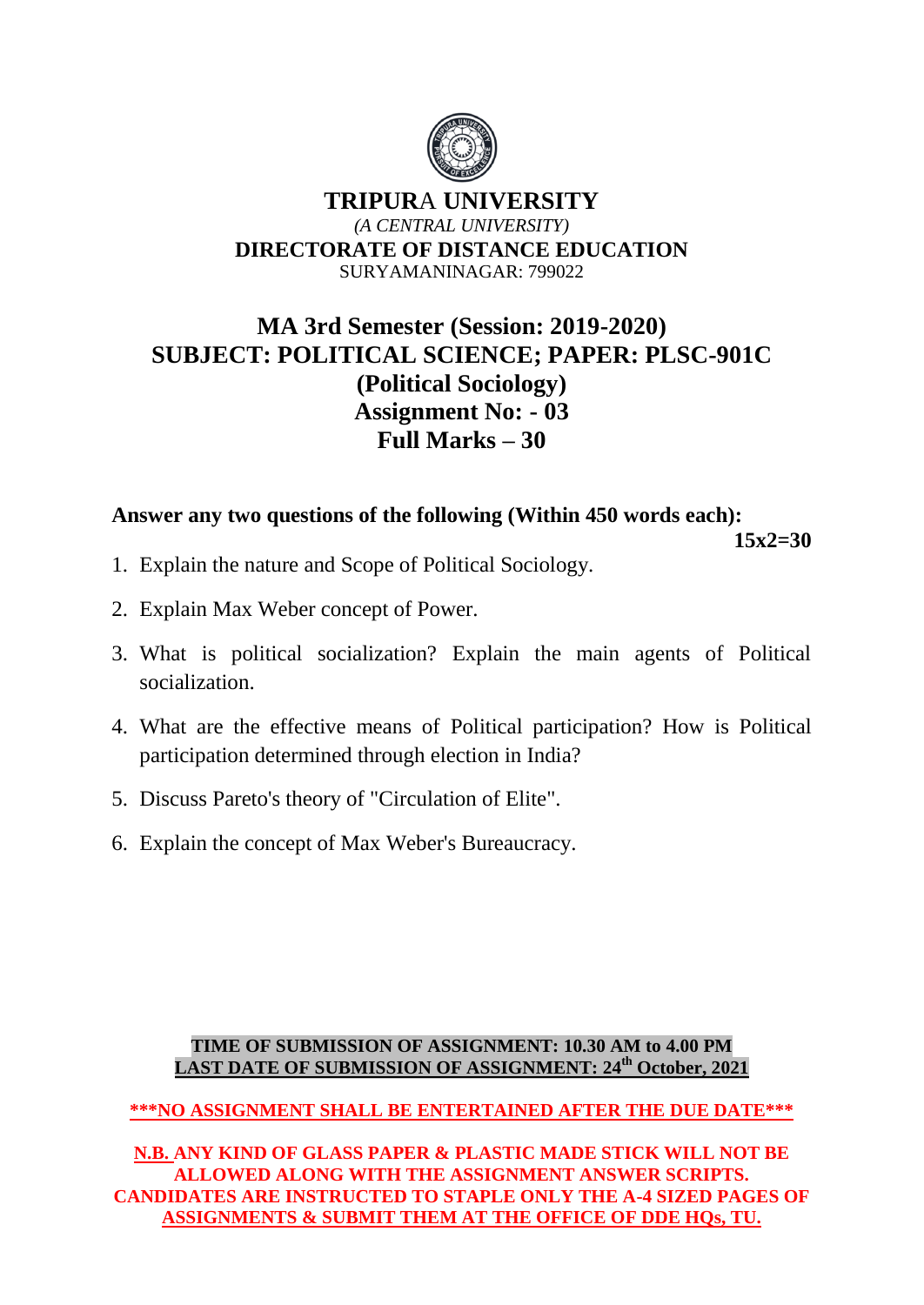

# **MA 3rd Semester (Session: 2019-2020) SUBJECT: POLITICAL SCIENCE; PAPER: PLSC-901C (Political Sociology) Assignment No: - 03 Full Marks – 30**

## **Answer any two questions of the following (Within 450 words each):**

**15x2=30** 

- 1. Explain the nature and Scope of Political Sociology.
- 2. Explain Max Weber concept of Power.
- 3. What is political socialization? Explain the main agents of Political socialization.
- 4. What are the effective means of Political participation? How is Political participation determined through election in India?
- 5. Discuss Pareto's theory of "Circulation of Elite".
- 6. Explain the concept of Max Weber's Bureaucracy.

#### **TIME OF SUBMISSION OF ASSIGNMENT: 10.30 AM to 4.00 PM LAST DATE OF SUBMISSION OF ASSIGNMENT: 24th October, 2021**

**\*\*\*NO ASSIGNMENT SHALL BE ENTERTAINED AFTER THE DUE DATE\*\*\***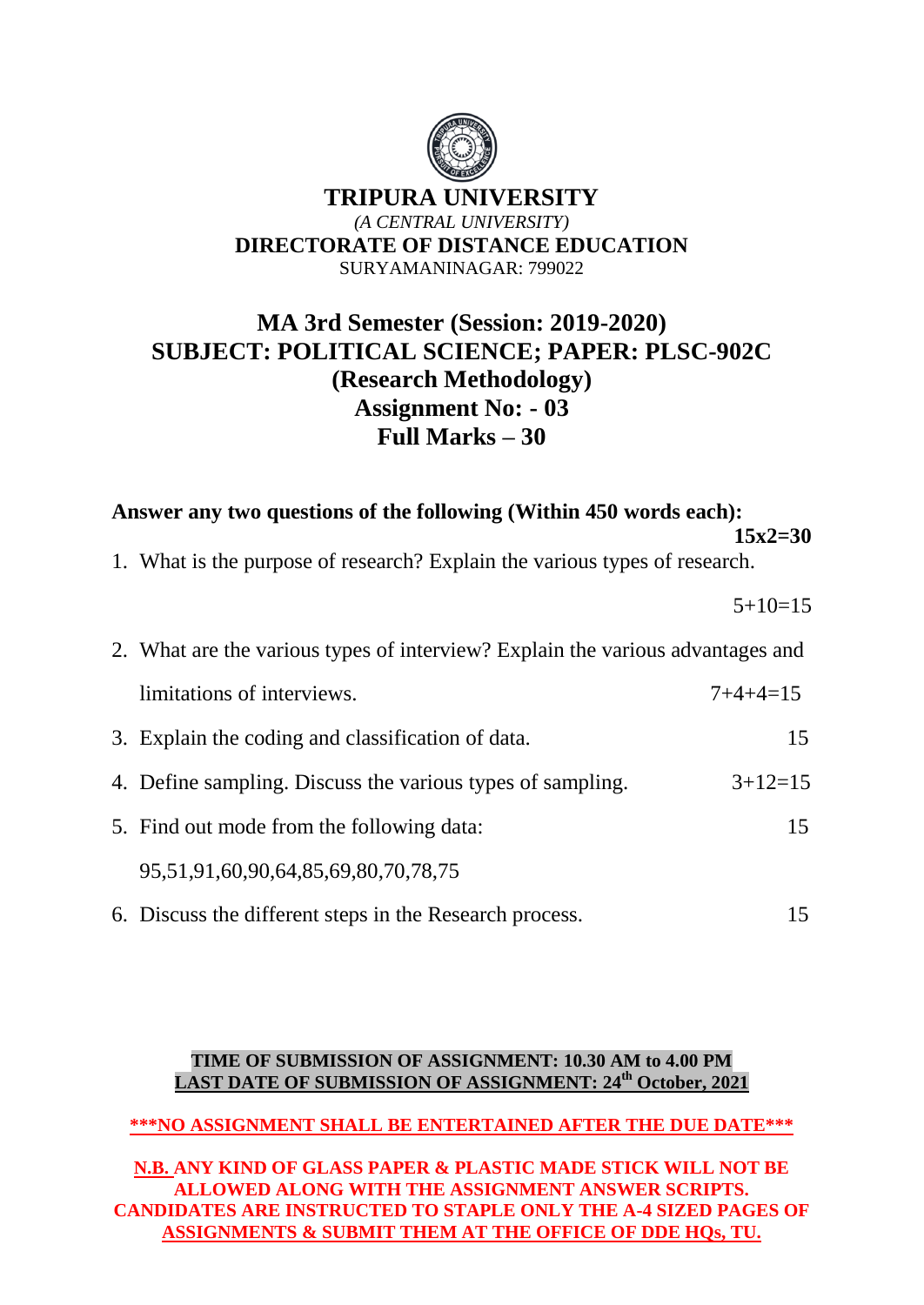

# **MA 3rd Semester (Session: 2019-2020) SUBJECT: POLITICAL SCIENCE; PAPER: PLSC-902C (Research Methodology) Assignment No: - 03 Full Marks – 30**

**Answer any two questions of the following (Within 450 words each): 15x2=30** 

1. What is the purpose of research? Explain the various types of research.

 $5+10=15$ 

| 2. What are the various types of interview? Explain the various advantages and |            |  |
|--------------------------------------------------------------------------------|------------|--|
| limitations of interviews.                                                     | $7+4+4=15$ |  |
| 3. Explain the coding and classification of data.                              | 15         |  |
| 4. Define sampling. Discuss the various types of sampling.                     | $3+12=15$  |  |
| 5. Find out mode from the following data:                                      | 15         |  |
| 95,51,91,60,90,64,85,69,80,70,78,75                                            |            |  |
| 6. Discuss the different steps in the Research process.                        | 15         |  |

#### **TIME OF SUBMISSION OF ASSIGNMENT: 10.30 AM to 4.00 PM LAST DATE OF SUBMISSION OF ASSIGNMENT: 24th October, 2021**

#### **\*\*\*NO ASSIGNMENT SHALL BE ENTERTAINED AFTER THE DUE DATE\*\*\***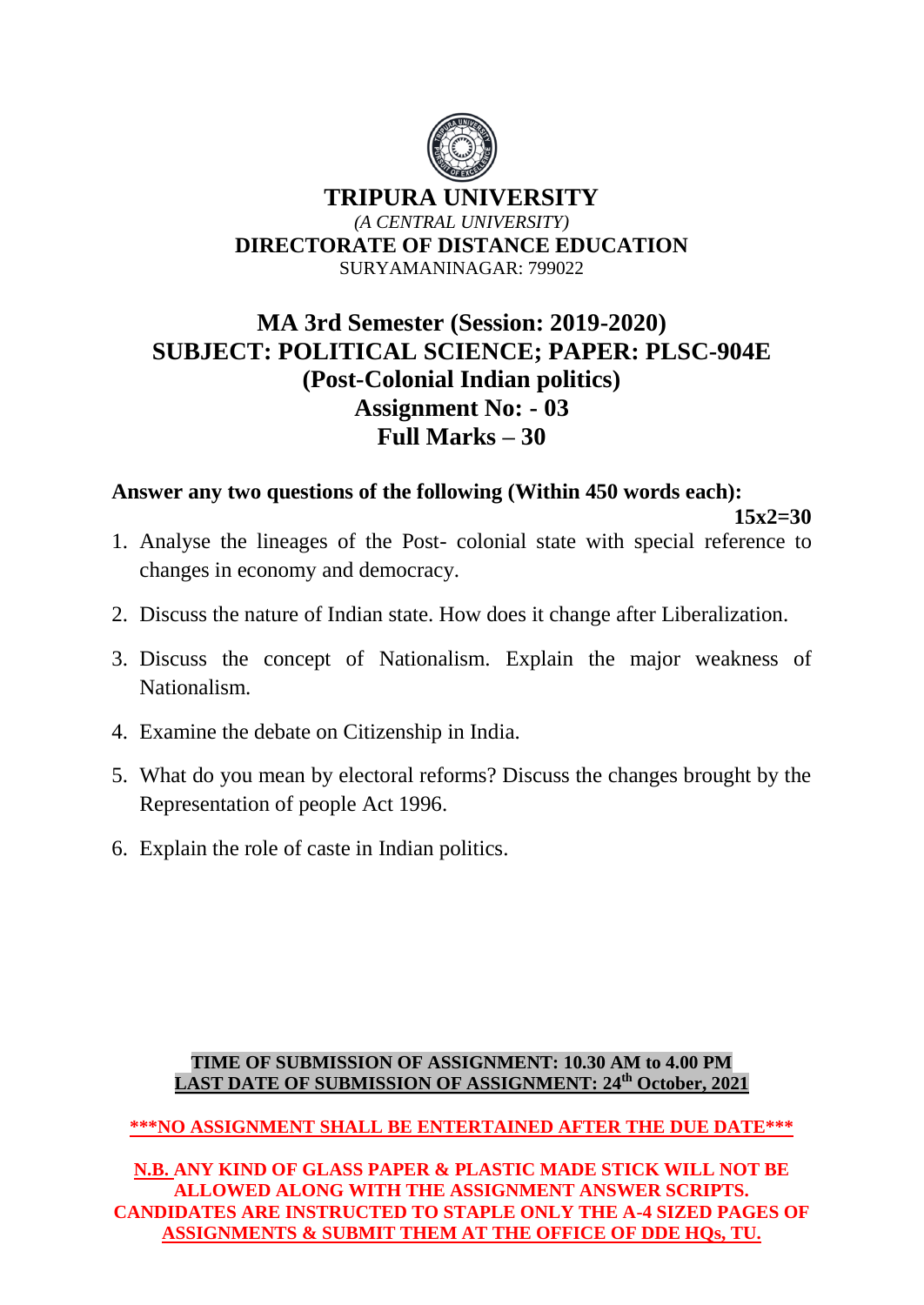

# **MA 3rd Semester (Session: 2019-2020) SUBJECT: POLITICAL SCIENCE; PAPER: PLSC-904E (Post-Colonial Indian politics) Assignment No: - 03 Full Marks – 30**

**Answer any two questions of the following (Within 450 words each):**

**15x2=30** 

- 1. Analyse the lineages of the Post- colonial state with special reference to changes in economy and democracy.
- 2. Discuss the nature of Indian state. How does it change after Liberalization.
- 3. Discuss the concept of Nationalism. Explain the major weakness of Nationalism.
- 4. Examine the debate on Citizenship in India.
- 5. What do you mean by electoral reforms? Discuss the changes brought by the Representation of people Act 1996.
- 6. Explain the role of caste in Indian politics.

#### **TIME OF SUBMISSION OF ASSIGNMENT: 10.30 AM to 4.00 PM LAST DATE OF SUBMISSION OF ASSIGNMENT: 24th October, 2021**

## **\*\*\*NO ASSIGNMENT SHALL BE ENTERTAINED AFTER THE DUE DATE\*\*\***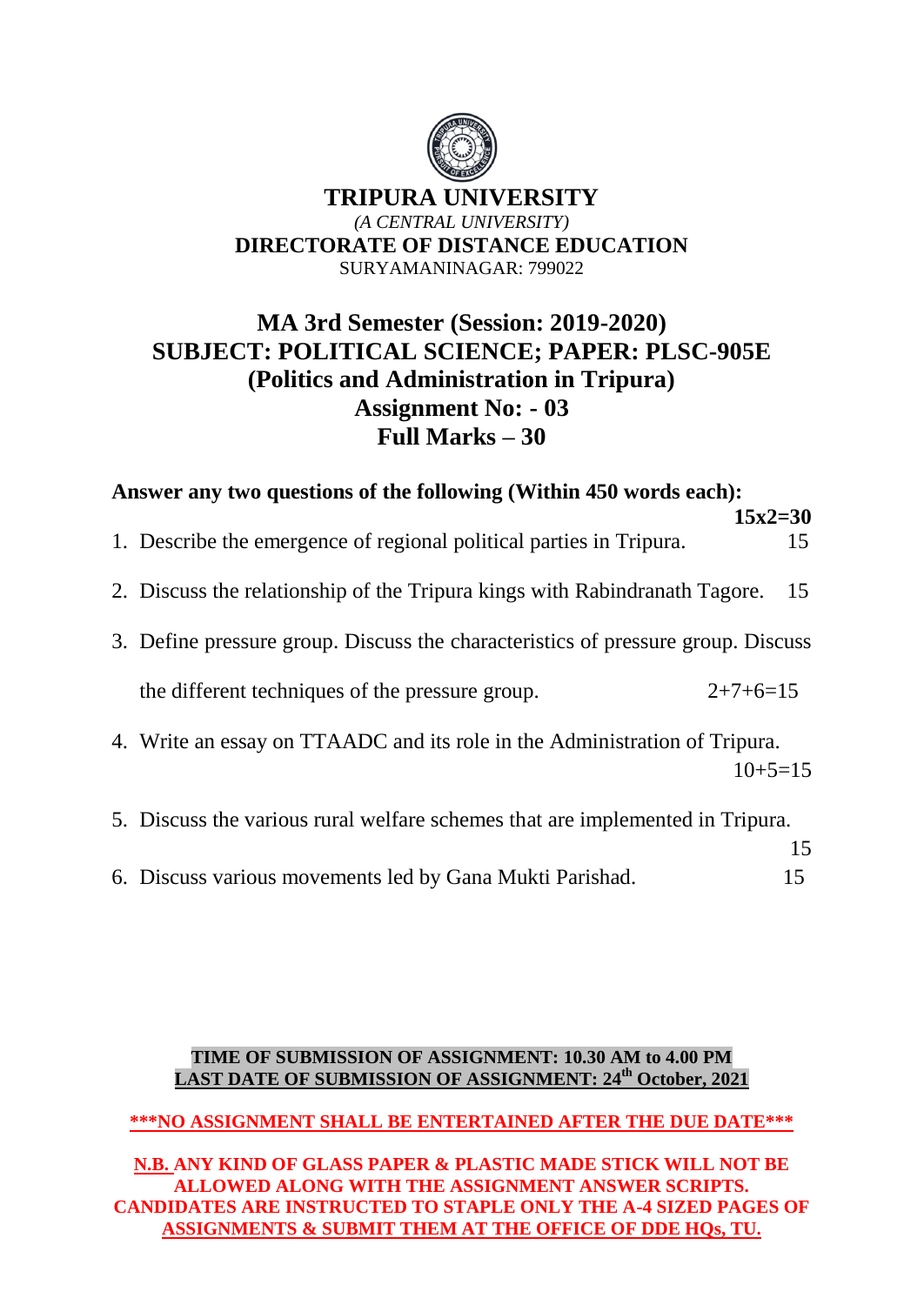

# **MA 3rd Semester (Session: 2019-2020) SUBJECT: POLITICAL SCIENCE; PAPER: PLSC-905E (Politics and Administration in Tripura) Assignment No: - 03 Full Marks – 30**

| Answer any two questions of the following (Within 450 words each): |                                                                                         |    |  |  |  |
|--------------------------------------------------------------------|-----------------------------------------------------------------------------------------|----|--|--|--|
|                                                                    | $15x2=30$<br>1. Describe the emergence of regional political parties in Tripura.        | 15 |  |  |  |
|                                                                    | 2. Discuss the relationship of the Tripura kings with Rabindranath Tagore.              | 15 |  |  |  |
|                                                                    | 3. Define pressure group. Discuss the characteristics of pressure group. Discuss        |    |  |  |  |
|                                                                    | the different techniques of the pressure group.<br>$2+7+6=15$                           |    |  |  |  |
|                                                                    | 4. Write an essay on TTAADC and its role in the Administration of Tripura.<br>$10+5=15$ |    |  |  |  |
|                                                                    | 5. Discuss the various rural welfare schemes that are implemented in Tripura.           | 15 |  |  |  |

6. Discuss various movements led by Gana Mukti Parishad. 15

#### **TIME OF SUBMISSION OF ASSIGNMENT: 10.30 AM to 4.00 PM LAST DATE OF SUBMISSION OF ASSIGNMENT: 24th October, 2021**

## **\*\*\*NO ASSIGNMENT SHALL BE ENTERTAINED AFTER THE DUE DATE\*\*\***